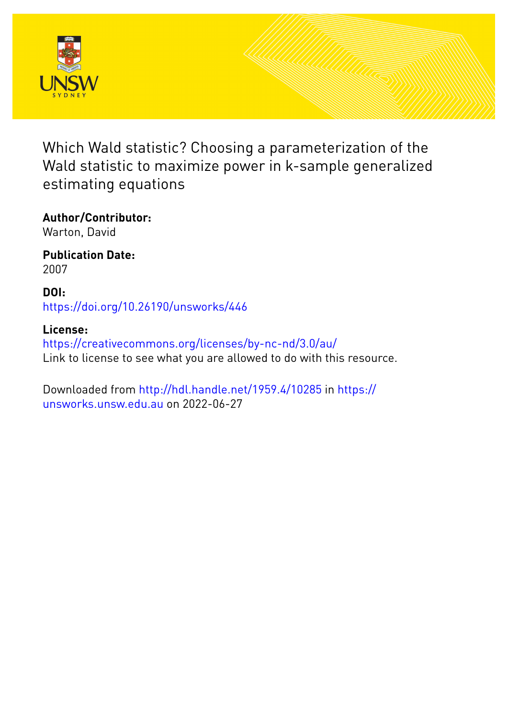

Which Wald statistic? Choosing a parameterization of the Wald statistic to maximize power in k-sample generalized estimating equations

**Author/Contributor:** Warton, David

**Publication Date:** 2007

**DOI:** [https://doi.org/10.26190/unsworks/446](http://dx.doi.org/https://doi.org/10.26190/unsworks/446)

**License:** <https://creativecommons.org/licenses/by-nc-nd/3.0/au/> Link to license to see what you are allowed to do with this resource.

Downloaded from <http://hdl.handle.net/1959.4/10285> in [https://](https://unsworks.unsw.edu.au) [unsworks.unsw.edu.au](https://unsworks.unsw.edu.au) on 2022-06-27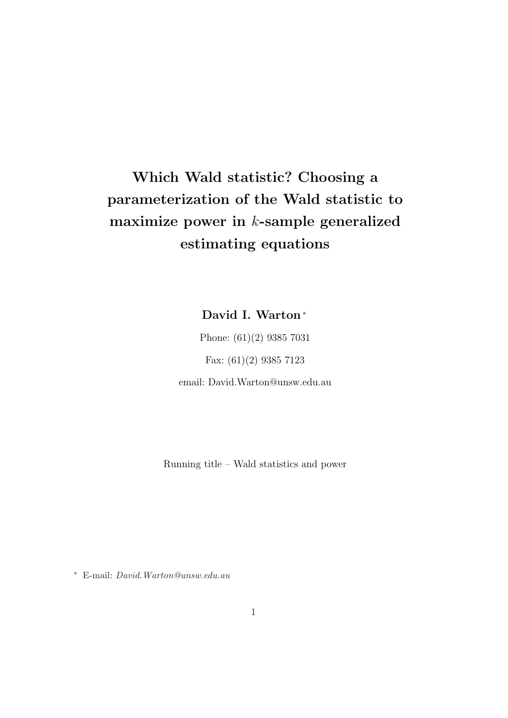# Which Wald statistic? Choosing a parameterization of the Wald statistic to maximize power in  $k$ -sample generalized estimating equations

David I. Warton<sup>∗</sup>

Phone: (61)(2) 9385 7031 Fax: (61)(2) 9385 7123 email: David.Warton@unsw.edu.au

Running title – Wald statistics and power

<sup>∗</sup> E-mail: David.Warton@unsw.edu.au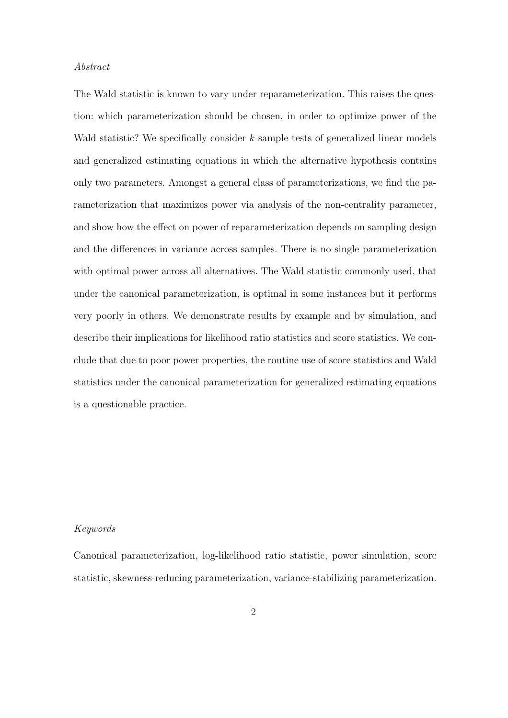### Abstract

The Wald statistic is known to vary under reparameterization. This raises the question: which parameterization should be chosen, in order to optimize power of the Wald statistic? We specifically consider k-sample tests of generalized linear models and generalized estimating equations in which the alternative hypothesis contains only two parameters. Amongst a general class of parameterizations, we find the parameterization that maximizes power via analysis of the non-centrality parameter, and show how the effect on power of reparameterization depends on sampling design and the differences in variance across samples. There is no single parameterization with optimal power across all alternatives. The Wald statistic commonly used, that under the canonical parameterization, is optimal in some instances but it performs very poorly in others. We demonstrate results by example and by simulation, and describe their implications for likelihood ratio statistics and score statistics. We conclude that due to poor power properties, the routine use of score statistics and Wald statistics under the canonical parameterization for generalized estimating equations is a questionable practice.

## Keywords

Canonical parameterization, log-likelihood ratio statistic, power simulation, score statistic, skewness-reducing parameterization, variance-stabilizing parameterization.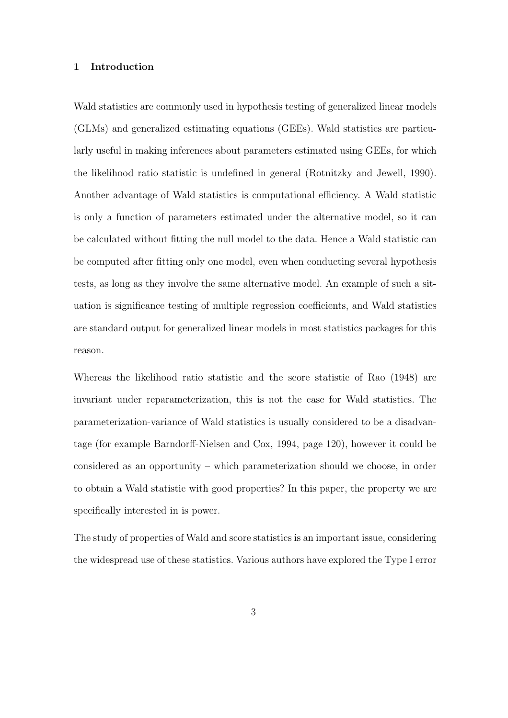## 1 Introduction

Wald statistics are commonly used in hypothesis testing of generalized linear models (GLMs) and generalized estimating equations (GEEs). Wald statistics are particularly useful in making inferences about parameters estimated using GEEs, for which the likelihood ratio statistic is undefined in general (Rotnitzky and Jewell, 1990). Another advantage of Wald statistics is computational efficiency. A Wald statistic is only a function of parameters estimated under the alternative model, so it can be calculated without fitting the null model to the data. Hence a Wald statistic can be computed after fitting only one model, even when conducting several hypothesis tests, as long as they involve the same alternative model. An example of such a situation is significance testing of multiple regression coefficients, and Wald statistics are standard output for generalized linear models in most statistics packages for this reason.

Whereas the likelihood ratio statistic and the score statistic of Rao (1948) are invariant under reparameterization, this is not the case for Wald statistics. The parameterization-variance of Wald statistics is usually considered to be a disadvantage (for example Barndorff-Nielsen and Cox, 1994, page 120), however it could be considered as an opportunity – which parameterization should we choose, in order to obtain a Wald statistic with good properties? In this paper, the property we are specifically interested in is power.

The study of properties of Wald and score statistics is an important issue, considering the widespread use of these statistics. Various authors have explored the Type I error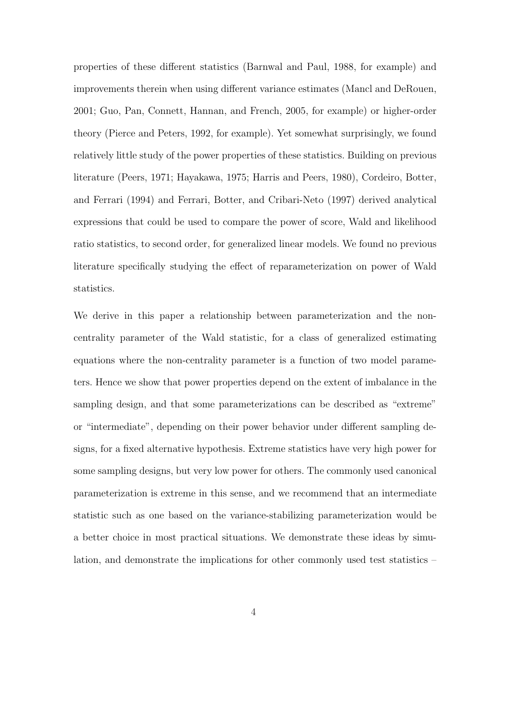properties of these different statistics (Barnwal and Paul, 1988, for example) and improvements therein when using different variance estimates (Mancl and DeRouen, 2001; Guo, Pan, Connett, Hannan, and French, 2005, for example) or higher-order theory (Pierce and Peters, 1992, for example). Yet somewhat surprisingly, we found relatively little study of the power properties of these statistics. Building on previous literature (Peers, 1971; Hayakawa, 1975; Harris and Peers, 1980), Cordeiro, Botter, and Ferrari (1994) and Ferrari, Botter, and Cribari-Neto (1997) derived analytical expressions that could be used to compare the power of score, Wald and likelihood ratio statistics, to second order, for generalized linear models. We found no previous literature specifically studying the effect of reparameterization on power of Wald statistics.

We derive in this paper a relationship between parameterization and the noncentrality parameter of the Wald statistic, for a class of generalized estimating equations where the non-centrality parameter is a function of two model parameters. Hence we show that power properties depend on the extent of imbalance in the sampling design, and that some parameterizations can be described as "extreme" or "intermediate", depending on their power behavior under different sampling designs, for a fixed alternative hypothesis. Extreme statistics have very high power for some sampling designs, but very low power for others. The commonly used canonical parameterization is extreme in this sense, and we recommend that an intermediate statistic such as one based on the variance-stabilizing parameterization would be a better choice in most practical situations. We demonstrate these ideas by simulation, and demonstrate the implications for other commonly used test statistics –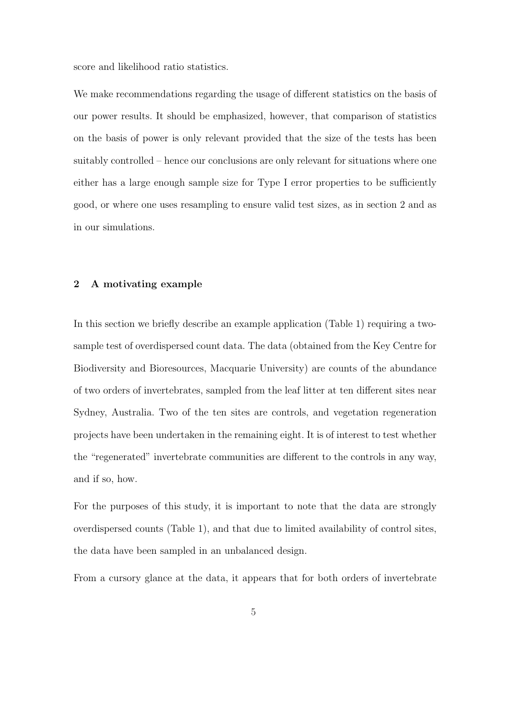score and likelihood ratio statistics.

We make recommendations regarding the usage of different statistics on the basis of our power results. It should be emphasized, however, that comparison of statistics on the basis of power is only relevant provided that the size of the tests has been suitably controlled – hence our conclusions are only relevant for situations where one either has a large enough sample size for Type I error properties to be sufficiently good, or where one uses resampling to ensure valid test sizes, as in section 2 and as in our simulations.

# 2 A motivating example

In this section we briefly describe an example application (Table 1) requiring a twosample test of overdispersed count data. The data (obtained from the Key Centre for Biodiversity and Bioresources, Macquarie University) are counts of the abundance of two orders of invertebrates, sampled from the leaf litter at ten different sites near Sydney, Australia. Two of the ten sites are controls, and vegetation regeneration projects have been undertaken in the remaining eight. It is of interest to test whether the "regenerated" invertebrate communities are different to the controls in any way, and if so, how.

For the purposes of this study, it is important to note that the data are strongly overdispersed counts (Table 1), and that due to limited availability of control sites, the data have been sampled in an unbalanced design.

From a cursory glance at the data, it appears that for both orders of invertebrate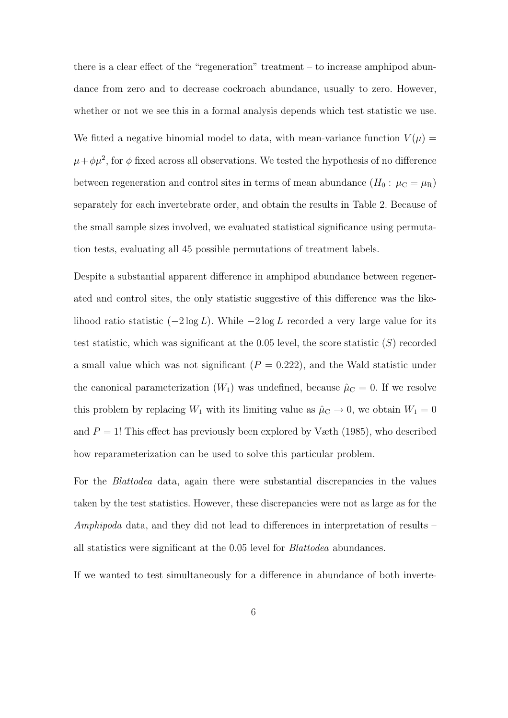there is a clear effect of the "regeneration" treatment – to increase amphipod abundance from zero and to decrease cockroach abundance, usually to zero. However, whether or not we see this in a formal analysis depends which test statistic we use. We fitted a negative binomial model to data, with mean-variance function  $V(\mu)$  =  $\mu + \phi \mu^2$ , for  $\phi$  fixed across all observations. We tested the hypothesis of no difference between regeneration and control sites in terms of mean abundance  $(H_0: \mu_C = \mu_R)$ separately for each invertebrate order, and obtain the results in Table 2. Because of the small sample sizes involved, we evaluated statistical significance using permutation tests, evaluating all 45 possible permutations of treatment labels.

Despite a substantial apparent difference in amphipod abundance between regenerated and control sites, the only statistic suggestive of this difference was the likelihood ratio statistic  $(-2 \log L)$ . While  $-2 \log L$  recorded a very large value for its test statistic, which was significant at the 0.05 level, the score statistic  $(S)$  recorded a small value which was not significant  $(P = 0.222)$ , and the Wald statistic under the canonical parameterization  $(W_1)$  was undefined, because  $\hat{\mu}_C = 0$ . If we resolve this problem by replacing  $W_1$  with its limiting value as  $\hat{\mu}_C \to 0$ , we obtain  $W_1 = 0$ and  $P = 1!$  This effect has previously been explored by Væth (1985), who described how reparameterization can be used to solve this particular problem.

For the Blattodea data, again there were substantial discrepancies in the values taken by the test statistics. However, these discrepancies were not as large as for the Amphipoda data, and they did not lead to differences in interpretation of results – all statistics were significant at the 0.05 level for Blattodea abundances.

If we wanted to test simultaneously for a difference in abundance of both inverte-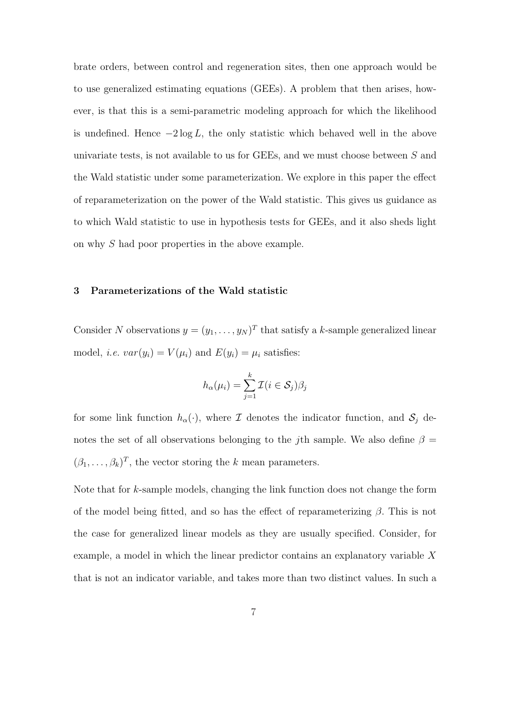brate orders, between control and regeneration sites, then one approach would be to use generalized estimating equations (GEEs). A problem that then arises, however, is that this is a semi-parametric modeling approach for which the likelihood is undefined. Hence  $-2 \log L$ , the only statistic which behaved well in the above univariate tests, is not available to us for GEEs, and we must choose between S and the Wald statistic under some parameterization. We explore in this paper the effect of reparameterization on the power of the Wald statistic. This gives us guidance as to which Wald statistic to use in hypothesis tests for GEEs, and it also sheds light on why S had poor properties in the above example.

## 3 Parameterizations of the Wald statistic

Consider N observations  $y = (y_1, \ldots, y_N)^T$  that satisfy a k-sample generalized linear model, *i.e.*  $var(y_i) = V(\mu_i)$  and  $E(y_i) = \mu_i$  satisfies:

$$
h_{\alpha}(\mu_i) = \sum_{j=1}^{k} \mathcal{I}(i \in \mathcal{S}_j)\beta_j
$$

for some link function  $h_{\alpha}(\cdot)$ , where  $\mathcal I$  denotes the indicator function, and  $\mathcal S_j$  denotes the set of all observations belonging to the *j*th sample. We also define  $\beta =$  $(\beta_1, \ldots, \beta_k)^T$ , the vector storing the k mean parameters.

Note that for k-sample models, changing the link function does not change the form of the model being fitted, and so has the effect of reparameterizing  $\beta$ . This is not the case for generalized linear models as they are usually specified. Consider, for example, a model in which the linear predictor contains an explanatory variable X that is not an indicator variable, and takes more than two distinct values. In such a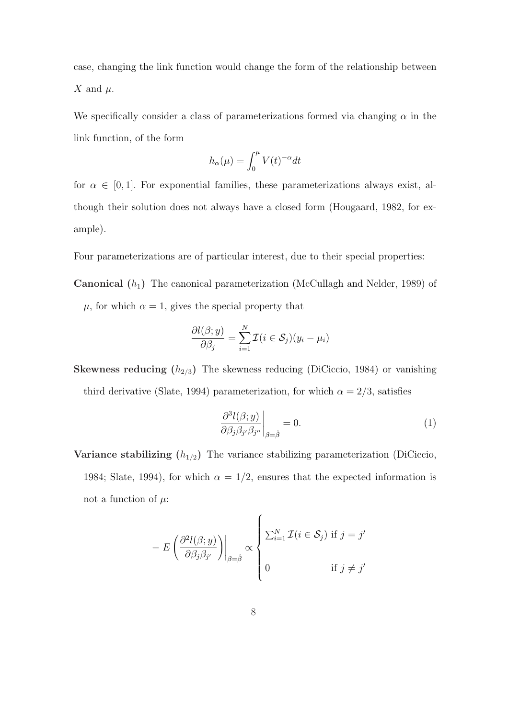case, changing the link function would change the form of the relationship between X and  $\mu$ .

We specifically consider a class of parameterizations formed via changing  $\alpha$  in the link function, of the form

$$
h_{\alpha}(\mu) = \int_0^{\mu} V(t)^{-\alpha} dt
$$

for  $\alpha \in [0, 1]$ . For exponential families, these parameterizations always exist, although their solution does not always have a closed form (Hougaard, 1982, for example).

Four parameterizations are of particular interest, due to their special properties:

**Canonical**  $(h_1)$  The canonical parameterization (McCullagh and Nelder, 1989) of  $\mu$ , for which  $\alpha = 1$ , gives the special property that

$$
\frac{\partial l(\beta; y)}{\partial \beta_j} = \sum_{i=1}^N \mathcal{I}(i \in \mathcal{S}_j)(y_i - \mu_i)
$$

**Skewness reducing**  $(h_{2/3})$  The skewness reducing (DiCiccio, 1984) or vanishing third derivative (Slate, 1994) parameterization, for which  $\alpha = 2/3$ , satisfies

$$
\left. \frac{\partial^3 l(\beta; y)}{\partial \beta_j \beta_{j'} \beta_{j''}} \right|_{\beta = \hat{\beta}} = 0.
$$
\n(1)

Variance stabilizing  $(h_{1/2})$  The variance stabilizing parameterization (DiCiccio, 1984; Slate, 1994), for which  $\alpha = 1/2$ , ensures that the expected information is not a function of  $\mu$ :

$$
- E\left(\frac{\partial^2 l(\beta; y)}{\partial \beta_j \beta_{j'}}\right)\Big|_{\beta = \hat{\beta}} \propto \begin{cases} \sum_{i=1}^N \mathcal{I}(i \in \mathcal{S}_j) & \text{if } j = j' \\ 0 & \text{if } j \neq j' \end{cases}
$$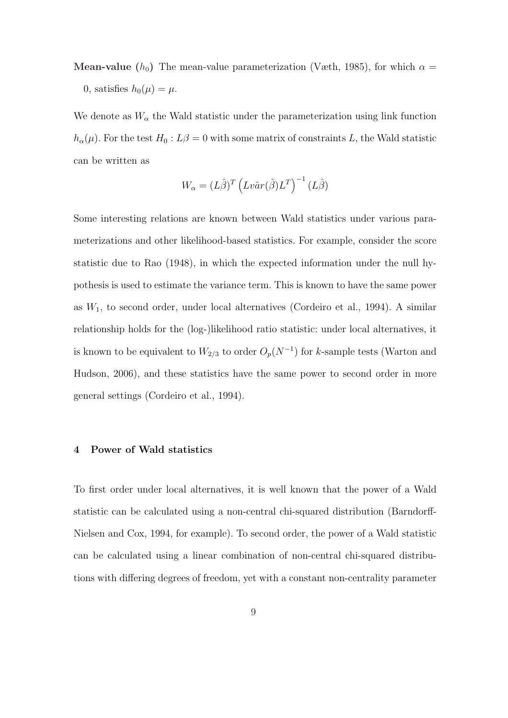**Mean-value** ( $h_0$ ) The mean-value parameterization (Væth, 1985), for which  $\alpha =$ 0, satisfies  $h_0(\mu) = \mu$ .

We denote as  $W_{\alpha}$  the Wald statistic under the parameterization using link function  $h_{\alpha}(\mu)$ . For the test  $H_0: L\beta = 0$  with some matrix of constraints L, the Wald statistic can be written as

$$
W_{\alpha} = (L\hat{\beta})^T \left( Lv\hat{a}r(\hat{\beta})L^T \right)^{-1} (L\hat{\beta})
$$

Some interesting relations are known between Wald statistics under various parameterizations and other likelihood-based statistics. For example, consider the score statistic due to Rao (1948), in which the expected information under the null hypothesis is used to estimate the variance term. This is known to have the same power as  $W_1$ , to second order, under local alternatives (Cordeiro et al., 1994). A similar relationship holds for the (log-)likelihood ratio statistic: under local alternatives, it is known to be equivalent to  $W_{2/3}$  to order  $O_p(N^{-1})$  for k-sample tests (Warton and Hudson, 2006), and these statistics have the same power to second order in more general settings (Cordeiro et al., 1994).

#### 4 Power of Wald statistics

To first order under local alternatives, it is well known that the power of a Wald statistic can be calculated using a non-central chi-squared distribution (Barndorff-Nielsen and Cox, 1994, for example). To second order, the power of a Wald statistic can be calculated using a linear combination of non-central chi-squared distributions with differing degrees of freedom, yet with a constant non-centrality parameter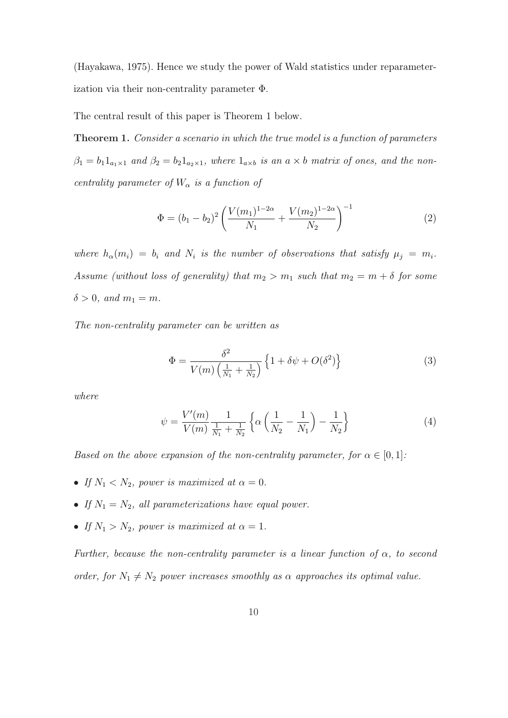(Hayakawa, 1975). Hence we study the power of Wald statistics under reparameterization via their non-centrality parameter Φ.

The central result of this paper is Theorem 1 below.

Theorem 1. Consider a scenario in which the true model is a function of parameters  $\beta_1 = b_1 1_{a_1 \times 1}$  and  $\beta_2 = b_2 1_{a_2 \times 1}$ , where  $1_{a \times b}$  is an  $a \times b$  matrix of ones, and the noncentrality parameter of  $W_{\alpha}$  is a function of

$$
\Phi = (b_1 - b_2)^2 \left( \frac{V(m_1)^{1-2\alpha}}{N_1} + \frac{V(m_2)^{1-2\alpha}}{N_2} \right)^{-1}
$$
\n(2)

where  $h_{\alpha}(m_i) = b_i$  and  $N_i$  is the number of observations that satisfy  $\mu_j = m_i$ . Assume (without loss of generality) that  $m_2 > m_1$  such that  $m_2 = m + \delta$  for some  $\delta > 0$ , and  $m_1 = m$ .

The non-centrality parameter can be written as

$$
\Phi = \frac{\delta^2}{V(m)\left(\frac{1}{N_1} + \frac{1}{N_2}\right)} \left\{1 + \delta\psi + O(\delta^2)\right\} \tag{3}
$$

where

$$
\psi = \frac{V'(m)}{V(m)} \frac{1}{\frac{1}{N_1} + \frac{1}{N_2}} \left\{ \alpha \left( \frac{1}{N_2} - \frac{1}{N_1} \right) - \frac{1}{N_2} \right\} \tag{4}
$$

Based on the above expansion of the non-centrality parameter, for  $\alpha \in [0,1]$ :

- If  $N_1 < N_2$ , power is maximized at  $\alpha = 0$ .
- If  $N_1 = N_2$ , all parameterizations have equal power.
- If  $N_1 > N_2$ , power is maximized at  $\alpha = 1$ .

Further, because the non-centrality parameter is a linear function of  $\alpha$ , to second order, for  $N_1 \neq N_2$  power increases smoothly as  $\alpha$  approaches its optimal value.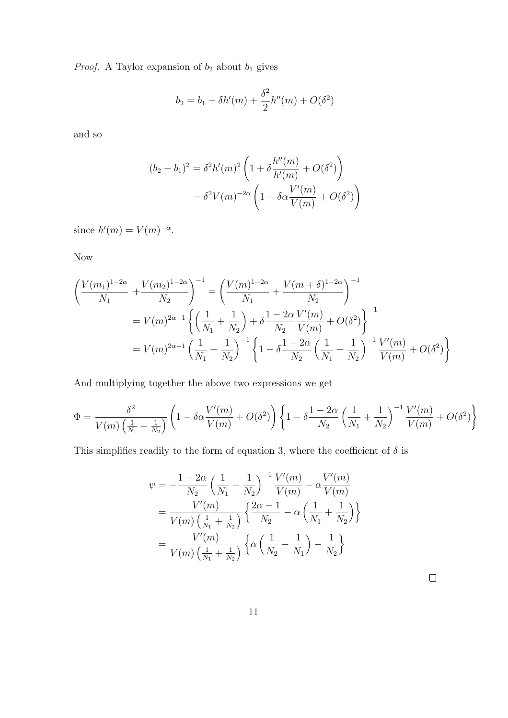*Proof.* A Taylor expansion of  $b_2$  about  $b_1$  gives

$$
b_2 = b_1 + \delta h'(m) + \frac{\delta^2}{2} h''(m) + O(\delta^2)
$$

and so

$$
(b_2 - b_1)^2 = \delta^2 h'(m)^2 \left( 1 + \delta \frac{h''(m)}{h'(m)} + O(\delta^2) \right)
$$
  
=  $\delta^2 V(m)^{-2\alpha} \left( 1 - \delta \alpha \frac{V'(m)}{V(m)} + O(\delta^2) \right)$ 

since  $h'(m) = V(m)^{-\alpha}$ .

Now

$$
\left(\frac{V(m_1)^{1-2\alpha}}{N_1} + \frac{V(m_2)^{1-2\alpha}}{N_2}\right)^{-1} = \left(\frac{V(m)^{1-2\alpha}}{N_1} + \frac{V(m+\delta)^{1-2\alpha}}{N_2}\right)^{-1}
$$
  
=  $V(m)^{2\alpha-1} \left\{ \left(\frac{1}{N_1} + \frac{1}{N_2}\right) + \delta \frac{1-2\alpha}{N_2} \frac{V'(m)}{V(m)} + O(\delta^2) \right\}^{-1}$   
=  $V(m)^{2\alpha-1} \left(\frac{1}{N_1} + \frac{1}{N_2}\right)^{-1} \left\{ 1 - \delta \frac{1-2\alpha}{N_2} \left(\frac{1}{N_1} + \frac{1}{N_2}\right)^{-1} \frac{V'(m)}{V(m)} + O(\delta^2) \right\}$ 

And multiplying together the above two expressions we get

$$
\Phi = \frac{\delta^2}{V(m)\left(\frac{1}{N_1} + \frac{1}{N_2}\right)} \left(1 - \delta\alpha \frac{V'(m)}{V(m)} + O(\delta^2)\right) \left\{1 - \delta\frac{1 - 2\alpha}{N_2} \left(\frac{1}{N_1} + \frac{1}{N_2}\right)^{-1} \frac{V'(m)}{V(m)} + O(\delta^2)\right\}
$$

This simplifies readily to the form of equation 3, where the coefficient of  $\delta$  is

$$
\psi = -\frac{1 - 2\alpha}{N_2} \left( \frac{1}{N_1} + \frac{1}{N_2} \right)^{-1} \frac{V'(m)}{V(m)} - \alpha \frac{V'(m)}{V(m)}
$$
  
= 
$$
\frac{V'(m)}{V(m) \left( \frac{1}{N_1} + \frac{1}{N_2} \right)} \left\{ \frac{2\alpha - 1}{N_2} - \alpha \left( \frac{1}{N_1} + \frac{1}{N_2} \right) \right\}
$$
  
= 
$$
\frac{V'(m)}{V(m) \left( \frac{1}{N_1} + \frac{1}{N_2} \right)} \left\{ \alpha \left( \frac{1}{N_2} - \frac{1}{N_1} \right) - \frac{1}{N_2} \right\}
$$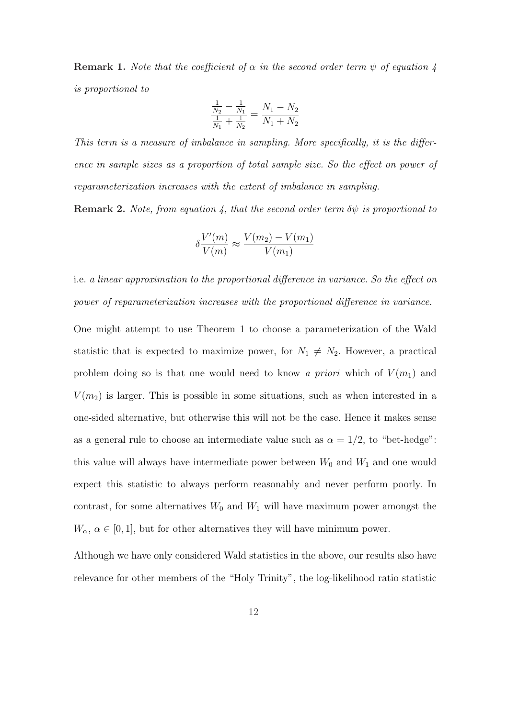**Remark 1.** Note that the coefficient of  $\alpha$  in the second order term  $\psi$  of equation 4 is proportional to

$$
\frac{\frac{1}{N_2} - \frac{1}{N_1}}{\frac{1}{N_1} + \frac{1}{N_2}} = \frac{N_1 - N_2}{N_1 + N_2}
$$

This term is a measure of imbalance in sampling. More specifically, it is the difference in sample sizes as a proportion of total sample size. So the effect on power of reparameterization increases with the extent of imbalance in sampling.

**Remark 2.** Note, from equation 4, that the second order term  $\delta\psi$  is proportional to

$$
\delta \frac{V'(m)}{V(m)} \approx \frac{V(m_2) - V(m_1)}{V(m_1)}
$$

i.e. a linear approximation to the proportional difference in variance. So the effect on power of reparameterization increases with the proportional difference in variance.

One might attempt to use Theorem 1 to choose a parameterization of the Wald statistic that is expected to maximize power, for  $N_1 \neq N_2$ . However, a practical problem doing so is that one would need to know a *priori* which of  $V(m_1)$  and  $V(m<sub>2</sub>)$  is larger. This is possible in some situations, such as when interested in a one-sided alternative, but otherwise this will not be the case. Hence it makes sense as a general rule to choose an intermediate value such as  $\alpha = 1/2$ , to "bet-hedge": this value will always have intermediate power between  $W_0$  and  $W_1$  and one would expect this statistic to always perform reasonably and never perform poorly. In contrast, for some alternatives  $W_0$  and  $W_1$  will have maximum power amongst the  $W_{\alpha}$ ,  $\alpha \in [0, 1]$ , but for other alternatives they will have minimum power.

Although we have only considered Wald statistics in the above, our results also have relevance for other members of the "Holy Trinity", the log-likelihood ratio statistic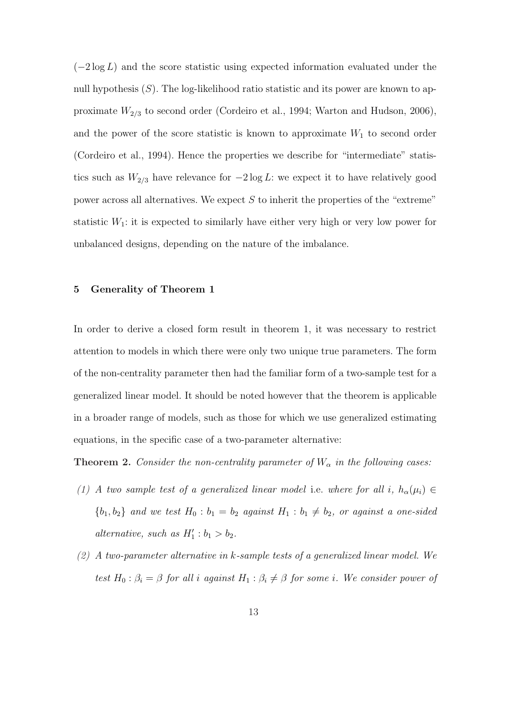$(-2 \log L)$  and the score statistic using expected information evaluated under the null hypothesis  $(S)$ . The log-likelihood ratio statistic and its power are known to approximate  $W_{2/3}$  to second order (Cordeiro et al., 1994; Warton and Hudson, 2006), and the power of the score statistic is known to approximate  $W_1$  to second order (Cordeiro et al., 1994). Hence the properties we describe for "intermediate" statistics such as  $W_{2/3}$  have relevance for  $-2 \log L$ : we expect it to have relatively good power across all alternatives. We expect  $S$  to inherit the properties of the "extreme" statistic  $W_1$ : it is expected to similarly have either very high or very low power for unbalanced designs, depending on the nature of the imbalance.

### 5 Generality of Theorem 1

In order to derive a closed form result in theorem 1, it was necessary to restrict attention to models in which there were only two unique true parameters. The form of the non-centrality parameter then had the familiar form of a two-sample test for a generalized linear model. It should be noted however that the theorem is applicable in a broader range of models, such as those for which we use generalized estimating equations, in the specific case of a two-parameter alternative:

**Theorem 2.** Consider the non-centrality parameter of  $W_{\alpha}$  in the following cases:

- (1) A two sample test of a generalized linear model i.e. where for all i,  $h_{\alpha}(\mu_i) \in$  ${b_1, b_2}$  and we test  $H_0 : b_1 = b_2$  against  $H_1 : b_1 \neq b_2$ , or against a one-sided alternative, such as  $H'_1 : b_1 > b_2$ .
- (2) A two-parameter alternative in k-sample tests of a generalized linear model. We test  $H_0: \beta_i = \beta$  for all i against  $H_1: \beta_i \neq \beta$  for some i. We consider power of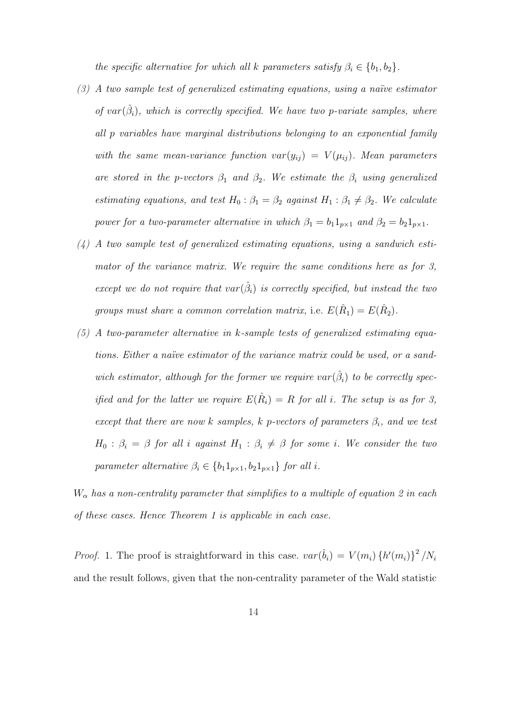the specific alternative for which all k parameters satisfy  $\beta_i \in \{b_1, b_2\}$ .

- $(3)$  A two sample test of generalized estimating equations, using a naïve estimator of  $var(\hat{\beta}_i)$ , which is correctly specified. We have two p-variate samples, where all p variables have marginal distributions belonging to an exponential family with the same mean-variance function  $var(y_{ij}) = V(\mu_{ij})$ . Mean parameters are stored in the p-vectors  $\beta_1$  and  $\beta_2$ . We estimate the  $\beta_i$  using generalized estimating equations, and test  $H_0$ :  $\beta_1 = \beta_2$  against  $H_1 : \beta_1 \neq \beta_2$ . We calculate power for a two-parameter alternative in which  $\beta_1 = b_1 1_{p \times 1}$  and  $\beta_2 = b_2 1_{p \times 1}$ .
- (4) A two sample test of generalized estimating equations, using a sandwich estimator of the variance matrix. We require the same conditions here as for 3, except we do not require that  $var(\hat{\beta}_i)$  is correctly specified, but instead the two groups must share a common correlation matrix, i.e.  $E(\hat{R}_1) = E(\hat{R}_2)$ .
- (5) A two-parameter alternative in k-sample tests of generalized estimating equations. Either a naïve estimator of the variance matrix could be used, or a sandwich estimator, although for the former we require  $var(\hat{\beta}_i)$  to be correctly specified and for the latter we require  $E(\hat{R}_i) = R$  for all i. The setup is as for 3, except that there are now k samples, k p-vectors of parameters  $\beta_i$ , and we test  $H_0$ :  $\beta_i = \beta$  for all i against  $H_1$ :  $\beta_i \neq \beta$  for some i. We consider the two parameter alternative  $\beta_i \in \{b_1 1_{p \times 1}, b_2 1_{p \times 1}\}$  for all i.

 $W_{\alpha}$  has a non-centrality parameter that simplifies to a multiple of equation 2 in each of these cases. Hence Theorem 1 is applicable in each case.

*Proof.* 1. The proof is straightforward in this case.  $var(\hat{b}_i) = V(m_i) \{h'(m_i)\}^2 / N_i$ and the result follows, given that the non-centrality parameter of the Wald statistic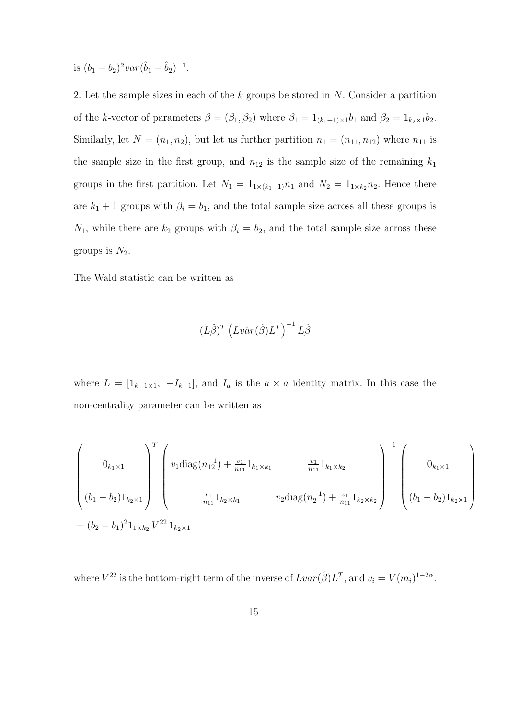is  $(b_1 - b_2)^2 var(\hat{b}_1 - \hat{b}_2)^{-1}$ .

2. Let the sample sizes in each of the k groups be stored in N. Consider a partition of the k-vector of parameters  $\beta = (\beta_1, \beta_2)$  where  $\beta_1 = 1_{(k_1+1)\times 1}b_1$  and  $\beta_2 = 1_{k_2\times 1}b_2$ . Similarly, let  $N = (n_1, n_2)$ , but let us further partition  $n_1 = (n_{11}, n_{12})$  where  $n_{11}$  is the sample size in the first group, and  $n_{12}$  is the sample size of the remaining  $k_1$ groups in the first partition. Let  $N_1 = 1_{1 \times (k_1+1)} n_1$  and  $N_2 = 1_{1 \times k_2} n_2$ . Hence there are  $k_1 + 1$  groups with  $\beta_i = b_1$ , and the total sample size across all these groups is  $N_1$ , while there are  $k_2$  groups with  $\beta_i = b_2$ , and the total sample size across these groups is  $N_2$ .

The Wald statistic can be written as

$$
(L\hat{\beta})^T\left(Lv\hat{a}r(\hat{\beta})L^T\right)^{-1}L\hat{\beta}
$$

where  $L = [1_{k-1\times 1}, -I_{k-1}]$ , and  $I_a$  is the  $a \times a$  identity matrix. In this case the non-centrality parameter can be written as

$$
\begin{pmatrix}\n0_{k_1 \times 1} \\
(b_1 - b_2)1_{k_2 \times 1}\n\end{pmatrix}\n\begin{pmatrix}\nv_1 \text{diag}(n_{12}^{-1}) + \frac{v_1}{n_{11}} 1_{k_1 \times k_1} & \frac{v_1}{n_{11}} 1_{k_1 \times k_2} \\
\frac{v_1}{n_{11}} 1_{k_2 \times k_1} & v_2 \text{diag}(n_2^{-1}) + \frac{v_1}{n_{11}} 1_{k_2 \times k_2}\n\end{pmatrix}^{-1}\n\begin{pmatrix}\n0_{k_1 \times 1} \\
(b_1 - b_2)1_{k_2 \times 1}\n\end{pmatrix}
$$
\n
$$
= (b_2 - b_1)^2 1_{1 \times k_2} V^{22} 1_{k_2 \times 1}
$$

where  $V^{22}$  is the bottom-right term of the inverse of  $Lvar(\hat{\beta})L^{T}$ , and  $v_i = V(m_i)^{1-2\alpha}$ .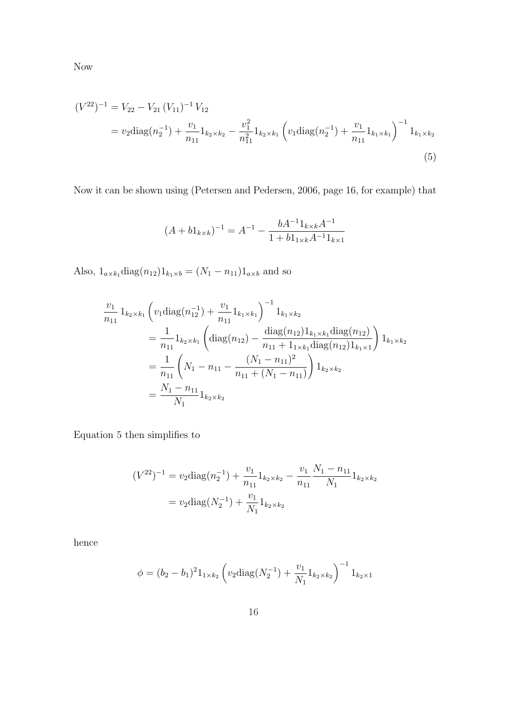$$
(V^{22})^{-1} = V_{22} - V_{21} (V_{11})^{-1} V_{12}
$$
  
=  $v_2 \text{diag}(n_2^{-1}) + \frac{v_1}{n_{11}} 1_{k_2 \times k_2} - \frac{v_1^2}{n_{11}^2} 1_{k_2 \times k_1} \left( v_1 \text{diag}(n_2^{-1}) + \frac{v_1}{n_{11}} 1_{k_1 \times k_1} \right)^{-1} 1_{k_1 \times k_2}$   
(5)

Now it can be shown using (Petersen and Pedersen, 2006, page 16, for example) that

$$
(A + b1_{k \times k})^{-1} = A^{-1} - \frac{bA^{-1}1_{k \times k}A^{-1}}{1 + b1_{k \times k}A^{-1}1_{k \times k}}
$$

Also,  $1_{a \times k_1}$ diag $(n_{12})1_{k_1 \times b} = (N_1 - n_{11})1_{a \times b}$  and so

$$
\frac{v_1}{n_{11}} 1_{k_2 \times k_1} \left( v_1 \text{diag}(n_{12}^{-1}) + \frac{v_1}{n_{11}} 1_{k_1 \times k_1} \right)^{-1} 1_{k_1 \times k_2}
$$
\n
$$
= \frac{1}{n_{11}} 1_{k_2 \times k_1} \left( \text{diag}(n_{12}) - \frac{\text{diag}(n_{12}) 1_{k_1 \times k_1} \text{diag}(n_{12})}{n_{11} + 1_{1 \times k_1} \text{diag}(n_{12}) 1_{k_1 \times 1}} \right) 1_{k_1 \times k_2}
$$
\n
$$
= \frac{1}{n_{11}} \left( N_1 - n_{11} - \frac{(N_1 - n_{11})^2}{n_{11} + (N_1 - n_{11})} \right) 1_{k_2 \times k_2}
$$
\n
$$
= \frac{N_1 - n_{11}}{N_1} 1_{k_2 \times k_2}
$$

Equation 5 then simplifies to

$$
(V^{22})^{-1} = v_2 \text{diag}(n_2^{-1}) + \frac{v_1}{n_{11}} 1_{k_2 \times k_2} - \frac{v_1}{n_{11}} \frac{N_1 - n_{11}}{N_1} 1_{k_2 \times k_2}
$$

$$
= v_2 \text{diag}(N_2^{-1}) + \frac{v_1}{N_1} 1_{k_2 \times k_2}
$$

hence

$$
\phi = (b_2 - b_1)^2 1_{1 \times k_2} \left( v_2 \text{diag}(N_2^{-1}) + \frac{v_1}{N_1} 1_{k_2 \times k_2} \right)^{-1} 1_{k_2 \times 1}
$$

16

Now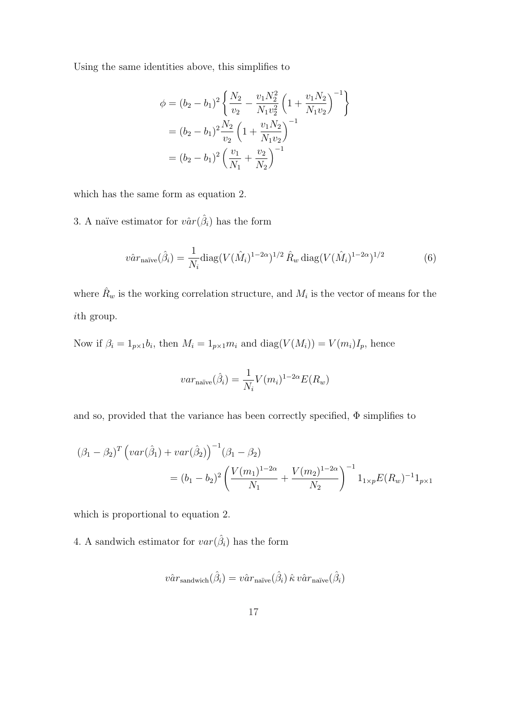Using the same identities above, this simplifies to

$$
\phi = (b_2 - b_1)^2 \left\{ \frac{N_2}{v_2} - \frac{v_1 N_2^2}{N_1 v_2^2} \left( 1 + \frac{v_1 N_2}{N_1 v_2} \right)^{-1} \right\}
$$
  
=  $(b_2 - b_1)^2 \frac{N_2}{v_2} \left( 1 + \frac{v_1 N_2}{N_1 v_2} \right)^{-1}$   
=  $(b_2 - b_1)^2 \left( \frac{v_1}{N_1} + \frac{v_2}{N_2} \right)^{-1}$ 

which has the same form as equation 2.

3. A naïve estimator for  $v\hat{a}r(\hat{\beta}_i)$  has the form

$$
\hat{var}_{\text{naïve}}(\hat{\beta}_i) = \frac{1}{N_i} \text{diag}(V(\hat{M}_i)^{1-2\alpha})^{1/2} \hat{R}_w \text{ diag}(V(\hat{M}_i)^{1-2\alpha})^{1/2}
$$
(6)

where  $\hat{R}_w$  is the working correlation structure, and  $M_i$  is the vector of means for the ith group.

Now if  $\beta_i = 1_{p \times 1} b_i$ , then  $M_i = 1_{p \times 1} m_i$  and  $diag(V(M_i)) = V(m_i)I_p$ , hence

$$
var_{\text{naïve}}(\hat{\beta}_i) = \frac{1}{N_i} V(m_i)^{1-2\alpha} E(R_w)
$$

and so, provided that the variance has been correctly specified,  $\Phi$  simplifies to

$$
(\beta_1 - \beta_2)^T \left( var(\hat{\beta}_1) + var(\hat{\beta}_2) \right)^{-1} (\beta_1 - \beta_2)
$$
  
=  $(b_1 - b_2)^2 \left( \frac{V(m_1)^{1-2\alpha}}{N_1} + \frac{V(m_2)^{1-2\alpha}}{N_2} \right)^{-1} 1_{1 \times p} E(R_w)^{-1} 1_{p \times 1}$ 

which is proportional to equation 2.

4. A sandwich estimator for  $var(\hat{\beta}_i)$  has the form

$$
\hat{var}_{\rm sandwich}(\hat{\beta}_i) = \hat{var}_{\rm naive}(\hat{\beta}_i) \hat{\kappa} \hat{var}_{\rm naive}(\hat{\beta}_i)
$$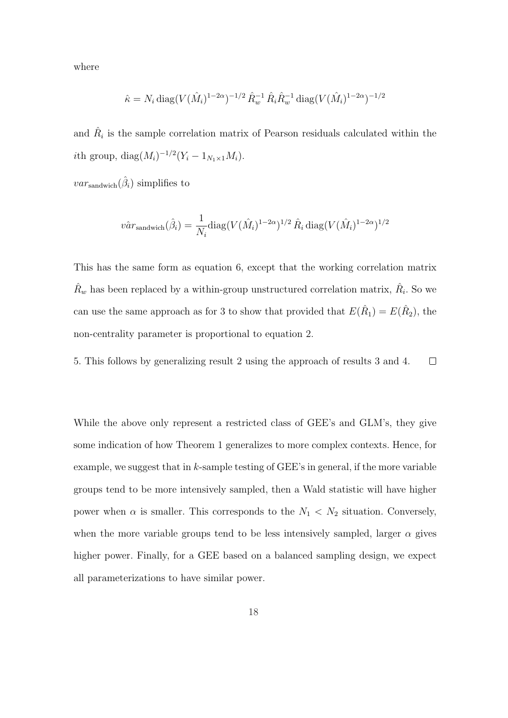where

$$
\hat{\kappa} = N_i \operatorname{diag}(V(\hat{M}_i)^{1-2\alpha})^{-1/2} \, \hat{R}_w^{-1} \, \hat{R}_i \hat{R}_w^{-1} \operatorname{diag}(V(\hat{M}_i)^{1-2\alpha})^{-1/2}
$$

and  $\hat{R}_i$  is the sample correlation matrix of Pearson residuals calculated within the *i*th group,  $diag(M_i)^{-1/2}(Y_i - 1_{N_1 \times 1}M_i)$ .

 $var_{\text{sandwich}}(\hat{\beta}_i)$  simplifies to

$$
\hat{var}_{\text{sandwich}}(\hat{\beta}_i) = \frac{1}{N_i} \text{diag}(V(\hat{M}_i)^{1-2\alpha})^{1/2} \hat{R}_i \,\text{diag}(V(\hat{M}_i)^{1-2\alpha})^{1/2}
$$

This has the same form as equation 6, except that the working correlation matrix  $\hat{R}_w$  has been replaced by a within-group unstructured correlation matrix,  $\hat{R}_i$ . So we can use the same approach as for 3 to show that provided that  $E(\hat{R}_1) = E(\hat{R}_2)$ , the non-centrality parameter is proportional to equation 2.

5. This follows by generalizing result 2 using the approach of results 3 and 4.  $\Box$ 

While the above only represent a restricted class of GEE's and GLM's, they give some indication of how Theorem 1 generalizes to more complex contexts. Hence, for example, we suggest that in  $k$ -sample testing of GEE's in general, if the more variable groups tend to be more intensively sampled, then a Wald statistic will have higher power when  $\alpha$  is smaller. This corresponds to the  $N_1 \langle N_2 \rangle$  situation. Conversely, when the more variable groups tend to be less intensively sampled, larger  $\alpha$  gives higher power. Finally, for a GEE based on a balanced sampling design, we expect all parameterizations to have similar power.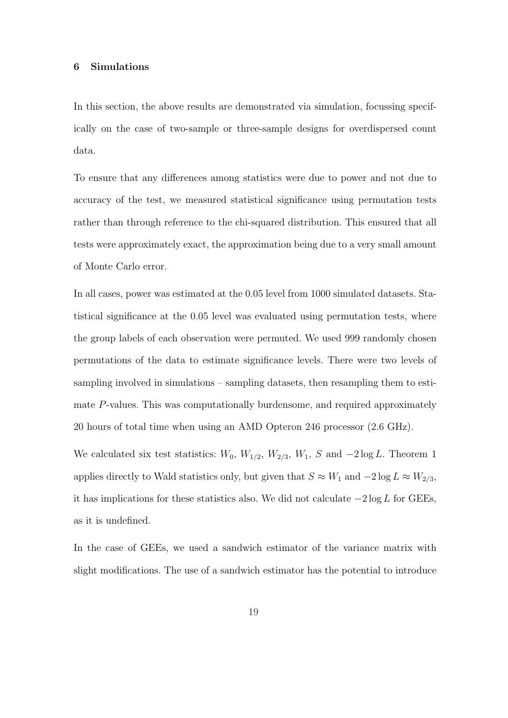## 6 Simulations

In this section, the above results are demonstrated via simulation, focussing specifically on the case of two-sample or three-sample designs for overdispersed count data.

To ensure that any differences among statistics were due to power and not due to accuracy of the test, we measured statistical significance using permutation tests rather than through reference to the chi-squared distribution. This ensured that all tests were approximately exact, the approximation being due to a very small amount of Monte Carlo error.

In all cases, power was estimated at the 0.05 level from 1000 simulated datasets. Statistical significance at the 0.05 level was evaluated using permutation tests, where the group labels of each observation were permuted. We used 999 randomly chosen permutations of the data to estimate significance levels. There were two levels of sampling involved in simulations – sampling datasets, then resampling them to estimate P-values. This was computationally burdensome, and required approximately 20 hours of total time when using an AMD Opteron 246 processor (2.6 GHz).

We calculated six test statistics:  $W_0$ ,  $W_{1/2}$ ,  $W_{2/3}$ ,  $W_1$ , S and  $-2 \log L$ . Theorem 1 applies directly to Wald statistics only, but given that  $S \approx W_1$  and  $-2 \log L \approx W_{2/3}$ , it has implications for these statistics also. We did not calculate  $-2 \log L$  for GEEs, as it is undefined.

In the case of GEEs, we used a sandwich estimator of the variance matrix with slight modifications. The use of a sandwich estimator has the potential to introduce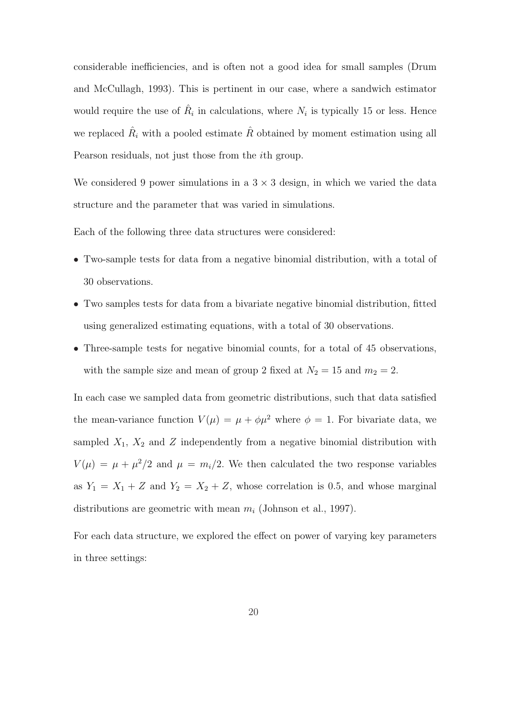considerable inefficiencies, and is often not a good idea for small samples (Drum and McCullagh, 1993). This is pertinent in our case, where a sandwich estimator would require the use of  $\hat{R}_i$  in calculations, where  $N_i$  is typically 15 or less. Hence we replaced  $\hat{R}_i$  with a pooled estimate  $\hat{R}$  obtained by moment estimation using all Pearson residuals, not just those from the ith group.

We considered 9 power simulations in a  $3 \times 3$  design, in which we varied the data structure and the parameter that was varied in simulations.

Each of the following three data structures were considered:

- Two-sample tests for data from a negative binomial distribution, with a total of 30 observations.
- Two samples tests for data from a bivariate negative binomial distribution, fitted using generalized estimating equations, with a total of 30 observations.
- Three-sample tests for negative binomial counts, for a total of 45 observations, with the sample size and mean of group 2 fixed at  $N_2 = 15$  and  $m_2 = 2$ .

In each case we sampled data from geometric distributions, such that data satisfied the mean-variance function  $V(\mu) = \mu + \phi \mu^2$  where  $\phi = 1$ . For bivariate data, we sampled  $X_1$ ,  $X_2$  and  $Z$  independently from a negative binomial distribution with  $V(\mu) = \mu + \mu^2/2$  and  $\mu = m_i/2$ . We then calculated the two response variables as  $Y_1 = X_1 + Z$  and  $Y_2 = X_2 + Z$ , whose correlation is 0.5, and whose marginal distributions are geometric with mean  $m_i$  (Johnson et al., 1997).

For each data structure, we explored the effect on power of varying key parameters in three settings: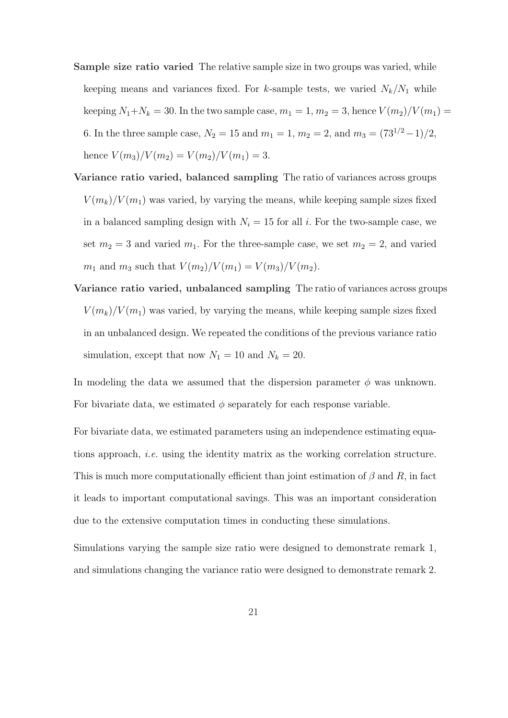- Sample size ratio varied The relative sample size in two groups was varied, while keeping means and variances fixed. For k-sample tests, we varied  $N_k/N_1$  while keeping  $N_1+N_k = 30$ . In the two sample case,  $m_1 = 1$ ,  $m_2 = 3$ , hence  $V(m_2)/V(m_1) =$ 6. In the three sample case,  $N_2 = 15$  and  $m_1 = 1$ ,  $m_2 = 2$ , and  $m_3 = (73^{1/2} - 1)/2$ , hence  $V(m_3)/V(m_2) = V(m_2)/V(m_1) = 3.$
- Variance ratio varied, balanced sampling The ratio of variances across groups  $V(m_k)/V(m_1)$  was varied, by varying the means, while keeping sample sizes fixed in a balanced sampling design with  $N_i = 15$  for all i. For the two-sample case, we set  $m_2 = 3$  and varied  $m_1$ . For the three-sample case, we set  $m_2 = 2$ , and varied  $m_1$  and  $m_3$  such that  $V(m_2)/V(m_1) = V(m_3)/V(m_2)$ .
- Variance ratio varied, unbalanced sampling The ratio of variances across groups  $V(m_k)/V(m_1)$  was varied, by varying the means, while keeping sample sizes fixed in an unbalanced design. We repeated the conditions of the previous variance ratio simulation, except that now  $N_1 = 10$  and  $N_k = 20$ .

In modeling the data we assumed that the dispersion parameter  $\phi$  was unknown. For bivariate data, we estimated  $\phi$  separately for each response variable.

For bivariate data, we estimated parameters using an independence estimating equations approach, i.e. using the identity matrix as the working correlation structure. This is much more computationally efficient than joint estimation of  $\beta$  and  $R$ , in fact it leads to important computational savings. This was an important consideration due to the extensive computation times in conducting these simulations.

Simulations varying the sample size ratio were designed to demonstrate remark 1, and simulations changing the variance ratio were designed to demonstrate remark 2.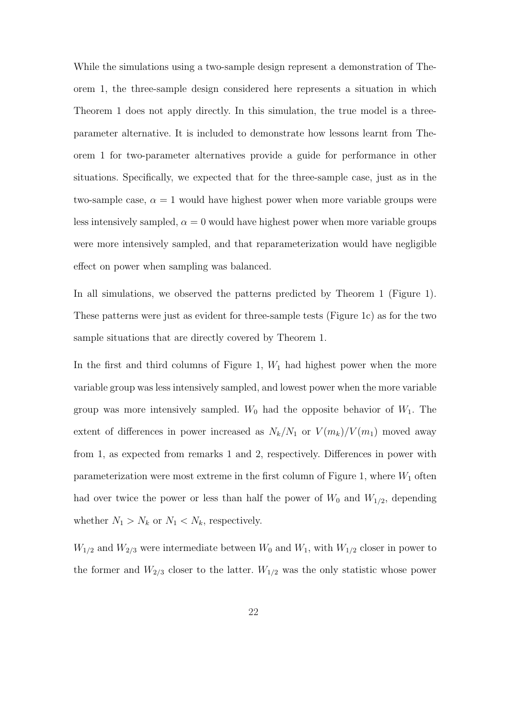While the simulations using a two-sample design represent a demonstration of Theorem 1, the three-sample design considered here represents a situation in which Theorem 1 does not apply directly. In this simulation, the true model is a threeparameter alternative. It is included to demonstrate how lessons learnt from Theorem 1 for two-parameter alternatives provide a guide for performance in other situations. Specifically, we expected that for the three-sample case, just as in the two-sample case,  $\alpha = 1$  would have highest power when more variable groups were less intensively sampled,  $\alpha = 0$  would have highest power when more variable groups were more intensively sampled, and that reparameterization would have negligible effect on power when sampling was balanced.

In all simulations, we observed the patterns predicted by Theorem 1 (Figure 1). These patterns were just as evident for three-sample tests (Figure 1c) as for the two sample situations that are directly covered by Theorem 1.

In the first and third columns of Figure 1,  $W_1$  had highest power when the more variable group was less intensively sampled, and lowest power when the more variable group was more intensively sampled.  $W_0$  had the opposite behavior of  $W_1$ . The extent of differences in power increased as  $N_k/N_1$  or  $V(m_k)/V(m_1)$  moved away from 1, as expected from remarks 1 and 2, respectively. Differences in power with parameterization were most extreme in the first column of Figure 1, where  $W_1$  often had over twice the power or less than half the power of  $W_0$  and  $W_{1/2}$ , depending whether  $N_1 > N_k$  or  $N_1 < N_k$ , respectively.

 $W_{1/2}$  and  $W_{2/3}$  were intermediate between  $W_0$  and  $W_1$ , with  $W_{1/2}$  closer in power to the former and  $W_{2/3}$  closer to the latter.  $W_{1/2}$  was the only statistic whose power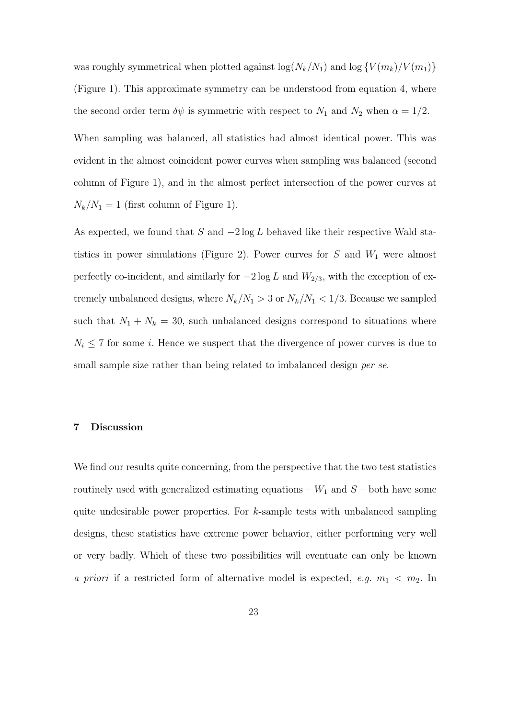was roughly symmetrical when plotted against  $\log(N_k/N_1)$  and  $\log\{V(m_k)/V(m_1)\}\$ (Figure 1). This approximate symmetry can be understood from equation 4, where the second order term  $\delta\psi$  is symmetric with respect to  $N_1$  and  $N_2$  when  $\alpha = 1/2$ .

When sampling was balanced, all statistics had almost identical power. This was evident in the almost coincident power curves when sampling was balanced (second column of Figure 1), and in the almost perfect intersection of the power curves at  $N_k/N_1 = 1$  (first column of Figure 1).

As expected, we found that S and  $-2 \log L$  behaved like their respective Wald statistics in power simulations (Figure 2). Power curves for  $S$  and  $W_1$  were almost perfectly co-incident, and similarly for  $-2 \log L$  and  $W_{2/3}$ , with the exception of extremely unbalanced designs, where  $N_k/N_1 > 3$  or  $N_k/N_1 < 1/3$ . Because we sampled such that  $N_1 + N_k = 30$ , such unbalanced designs correspond to situations where  $N_i \leq 7$  for some *i*. Hence we suspect that the divergence of power curves is due to small sample size rather than being related to imbalanced design *per se*.

#### 7 Discussion

We find our results quite concerning, from the perspective that the two test statistics routinely used with generalized estimating equations –  $W_1$  and  $S$  – both have some quite undesirable power properties. For  $k$ -sample tests with unbalanced sampling designs, these statistics have extreme power behavior, either performing very well or very badly. Which of these two possibilities will eventuate can only be known a priori if a restricted form of alternative model is expected, e.g.  $m_1 < m_2$ . In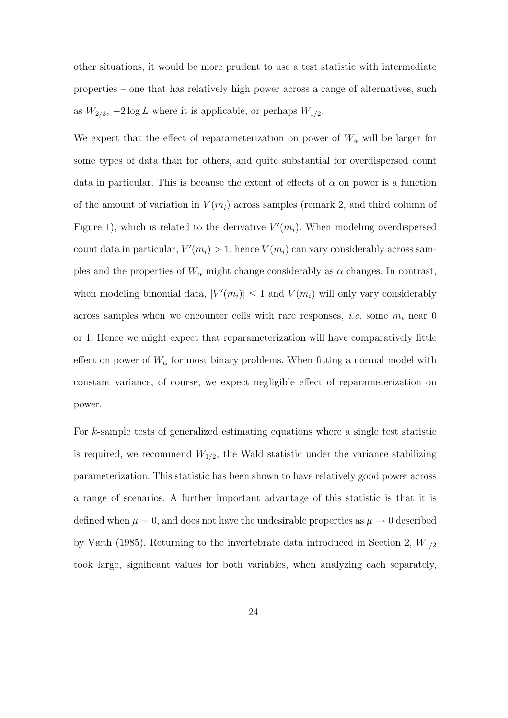other situations, it would be more prudent to use a test statistic with intermediate properties – one that has relatively high power across a range of alternatives, such as  $W_{2/3}$ ,  $-2 \log L$  where it is applicable, or perhaps  $W_{1/2}$ .

We expect that the effect of reparameterization on power of  $W_{\alpha}$  will be larger for some types of data than for others, and quite substantial for overdispersed count data in particular. This is because the extent of effects of  $\alpha$  on power is a function of the amount of variation in  $V(m_i)$  across samples (remark 2, and third column of Figure 1), which is related to the derivative  $V'(m_i)$ . When modeling overdispersed count data in particular,  $V'(m_i) > 1$ , hence  $V(m_i)$  can vary considerably across samples and the properties of  $W_{\alpha}$  might change considerably as  $\alpha$  changes. In contrast, when modeling binomial data,  $|V'(m_i)| \leq 1$  and  $V(m_i)$  will only vary considerably across samples when we encounter cells with rare responses, *i.e.* some  $m_i$  near 0 or 1. Hence we might expect that reparameterization will have comparatively little effect on power of  $W_{\alpha}$  for most binary problems. When fitting a normal model with constant variance, of course, we expect negligible effect of reparameterization on power.

For k-sample tests of generalized estimating equations where a single test statistic is required, we recommend  $W_{1/2}$ , the Wald statistic under the variance stabilizing parameterization. This statistic has been shown to have relatively good power across a range of scenarios. A further important advantage of this statistic is that it is defined when  $\mu = 0$ , and does not have the undesirable properties as  $\mu \to 0$  described by Væth (1985). Returning to the invertebrate data introduced in Section 2,  $W_{1/2}$ took large, significant values for both variables, when analyzing each separately,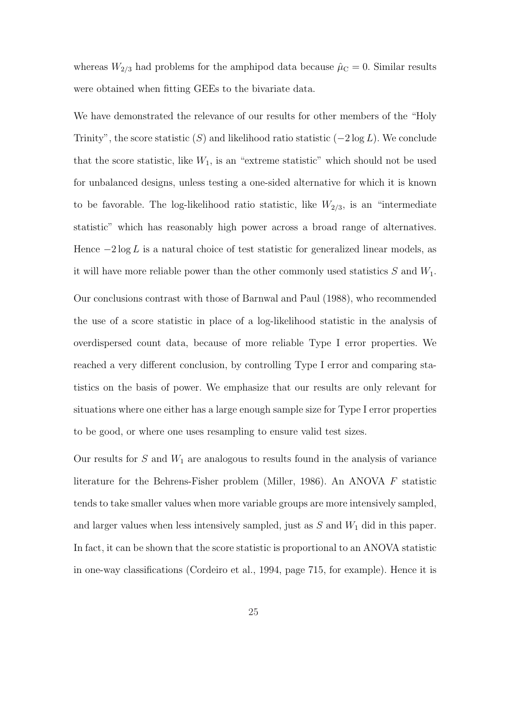whereas  $W_{2/3}$  had problems for the amphipod data because  $\hat{\mu}_C = 0$ . Similar results were obtained when fitting GEEs to the bivariate data.

We have demonstrated the relevance of our results for other members of the "Holy Trinity", the score statistic  $(S)$  and likelihood ratio statistic  $(-2 \log L)$ . We conclude that the score statistic, like  $W_1$ , is an "extreme statistic" which should not be used for unbalanced designs, unless testing a one-sided alternative for which it is known to be favorable. The log-likelihood ratio statistic, like  $W_{2/3}$ , is an "intermediate statistic" which has reasonably high power across a broad range of alternatives. Hence  $-2 \log L$  is a natural choice of test statistic for generalized linear models, as it will have more reliable power than the other commonly used statistics  $S$  and  $W_1$ . Our conclusions contrast with those of Barnwal and Paul (1988), who recommended the use of a score statistic in place of a log-likelihood statistic in the analysis of overdispersed count data, because of more reliable Type I error properties. We reached a very different conclusion, by controlling Type I error and comparing statistics on the basis of power. We emphasize that our results are only relevant for situations where one either has a large enough sample size for Type I error properties to be good, or where one uses resampling to ensure valid test sizes.

Our results for  $S$  and  $W_1$  are analogous to results found in the analysis of variance literature for the Behrens-Fisher problem (Miller, 1986). An ANOVA F statistic tends to take smaller values when more variable groups are more intensively sampled, and larger values when less intensively sampled, just as  $S$  and  $W_1$  did in this paper. In fact, it can be shown that the score statistic is proportional to an ANOVA statistic in one-way classifications (Cordeiro et al., 1994, page 715, for example). Hence it is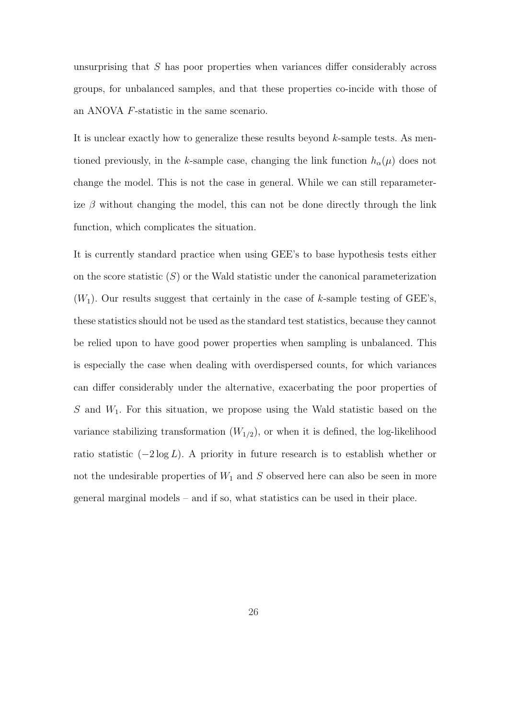unsurprising that S has poor properties when variances differ considerably across groups, for unbalanced samples, and that these properties co-incide with those of an ANOVA F-statistic in the same scenario.

It is unclear exactly how to generalize these results beyond  $k$ -sample tests. As mentioned previously, in the k-sample case, changing the link function  $h_{\alpha}(\mu)$  does not change the model. This is not the case in general. While we can still reparameterize  $\beta$  without changing the model, this can not be done directly through the link function, which complicates the situation.

It is currently standard practice when using GEE's to base hypothesis tests either on the score statistic  $(S)$  or the Wald statistic under the canonical parameterization  $(W_1)$ . Our results suggest that certainly in the case of k-sample testing of GEE's, these statistics should not be used as the standard test statistics, because they cannot be relied upon to have good power properties when sampling is unbalanced. This is especially the case when dealing with overdispersed counts, for which variances can differ considerably under the alternative, exacerbating the poor properties of  $S$  and  $W_1$ . For this situation, we propose using the Wald statistic based on the variance stabilizing transformation  $(W_{1/2})$ , or when it is defined, the log-likelihood ratio statistic  $(-2 \log L)$ . A priority in future research is to establish whether or not the undesirable properties of  $W_1$  and  $S$  observed here can also be seen in more general marginal models – and if so, what statistics can be used in their place.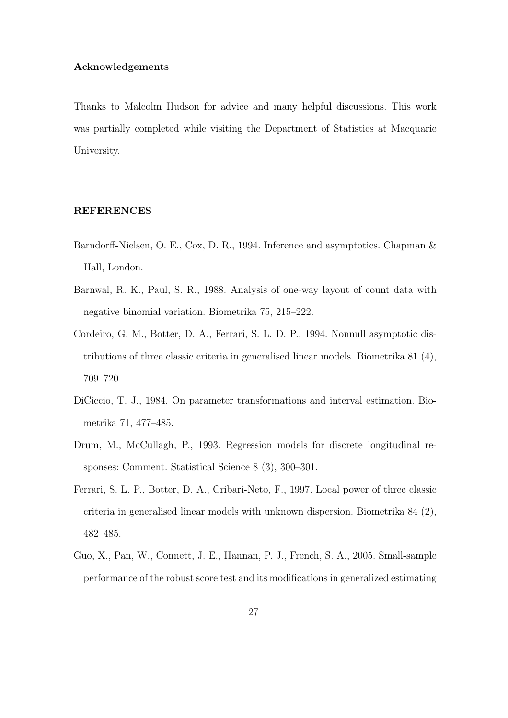# Acknowledgements

Thanks to Malcolm Hudson for advice and many helpful discussions. This work was partially completed while visiting the Department of Statistics at Macquarie University.

# REFERENCES

- Barndorff-Nielsen, O. E., Cox, D. R., 1994. Inference and asymptotics. Chapman & Hall, London.
- Barnwal, R. K., Paul, S. R., 1988. Analysis of one-way layout of count data with negative binomial variation. Biometrika 75, 215–222.
- Cordeiro, G. M., Botter, D. A., Ferrari, S. L. D. P., 1994. Nonnull asymptotic distributions of three classic criteria in generalised linear models. Biometrika 81 (4), 709–720.
- DiCiccio, T. J., 1984. On parameter transformations and interval estimation. Biometrika 71, 477–485.
- Drum, M., McCullagh, P., 1993. Regression models for discrete longitudinal responses: Comment. Statistical Science 8 (3), 300–301.
- Ferrari, S. L. P., Botter, D. A., Cribari-Neto, F., 1997. Local power of three classic criteria in generalised linear models with unknown dispersion. Biometrika 84 (2), 482–485.
- Guo, X., Pan, W., Connett, J. E., Hannan, P. J., French, S. A., 2005. Small-sample performance of the robust score test and its modifications in generalized estimating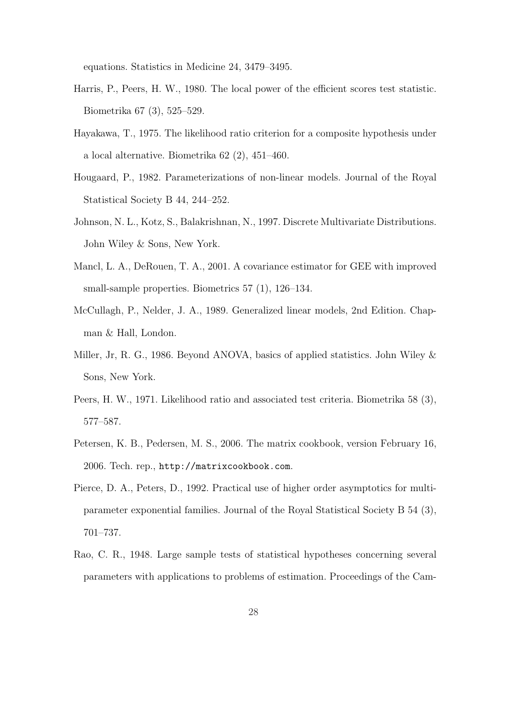equations. Statistics in Medicine 24, 3479–3495.

- Harris, P., Peers, H. W., 1980. The local power of the efficient scores test statistic. Biometrika 67 (3), 525–529.
- Hayakawa, T., 1975. The likelihood ratio criterion for a composite hypothesis under a local alternative. Biometrika 62 (2), 451–460.
- Hougaard, P., 1982. Parameterizations of non-linear models. Journal of the Royal Statistical Society B 44, 244–252.
- Johnson, N. L., Kotz, S., Balakrishnan, N., 1997. Discrete Multivariate Distributions. John Wiley & Sons, New York.
- Mancl, L. A., DeRouen, T. A., 2001. A covariance estimator for GEE with improved small-sample properties. Biometrics 57 (1), 126–134.
- McCullagh, P., Nelder, J. A., 1989. Generalized linear models, 2nd Edition. Chapman & Hall, London.
- Miller, Jr, R. G., 1986. Beyond ANOVA, basics of applied statistics. John Wiley & Sons, New York.
- Peers, H. W., 1971. Likelihood ratio and associated test criteria. Biometrika 58 (3), 577–587.
- Petersen, K. B., Pedersen, M. S., 2006. The matrix cookbook, version February 16, 2006. Tech. rep., http://matrixcookbook.com.
- Pierce, D. A., Peters, D., 1992. Practical use of higher order asymptotics for multiparameter exponential families. Journal of the Royal Statistical Society B 54 (3), 701–737.
- Rao, C. R., 1948. Large sample tests of statistical hypotheses concerning several parameters with applications to problems of estimation. Proceedings of the Cam-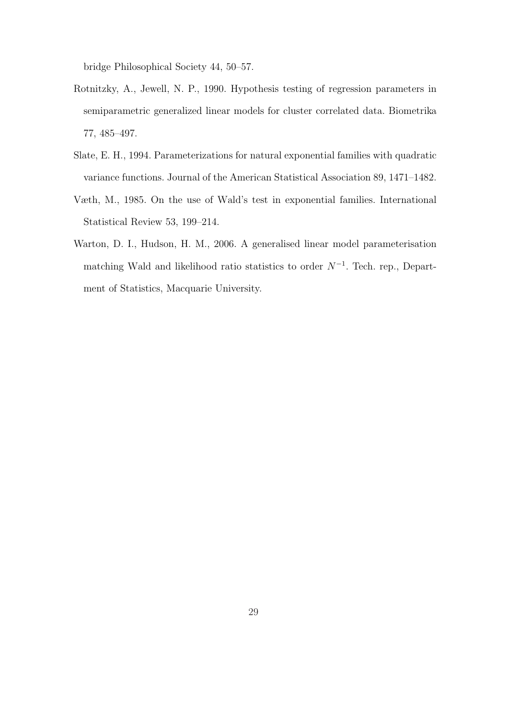bridge Philosophical Society 44, 50–57.

- Rotnitzky, A., Jewell, N. P., 1990. Hypothesis testing of regression parameters in semiparametric generalized linear models for cluster correlated data. Biometrika 77, 485–497.
- Slate, E. H., 1994. Parameterizations for natural exponential families with quadratic variance functions. Journal of the American Statistical Association 89, 1471–1482.
- Væth, M., 1985. On the use of Wald's test in exponential families. International Statistical Review 53, 199–214.
- Warton, D. I., Hudson, H. M., 2006. A generalised linear model parameterisation matching Wald and likelihood ratio statistics to order  $N^{-1}$ . Tech. rep., Department of Statistics, Macquarie University.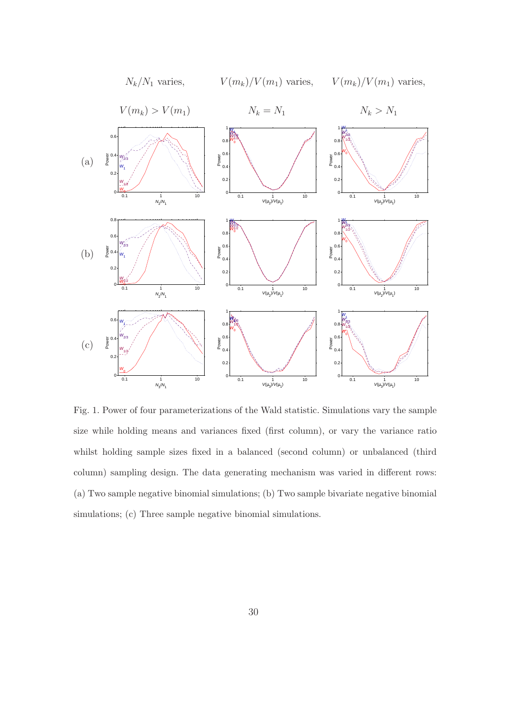

Fig. 1. Power of four parameterizations of the Wald statistic. Simulations vary the sample size while holding means and variances fixed (first column), or vary the variance ratio whilst holding sample sizes fixed in a balanced (second column) or unbalanced (third column) sampling design. The data generating mechanism was varied in different rows: (a) Two sample negative binomial simulations; (b) Two sample bivariate negative binomial simulations; (c) Three sample negative binomial simulations.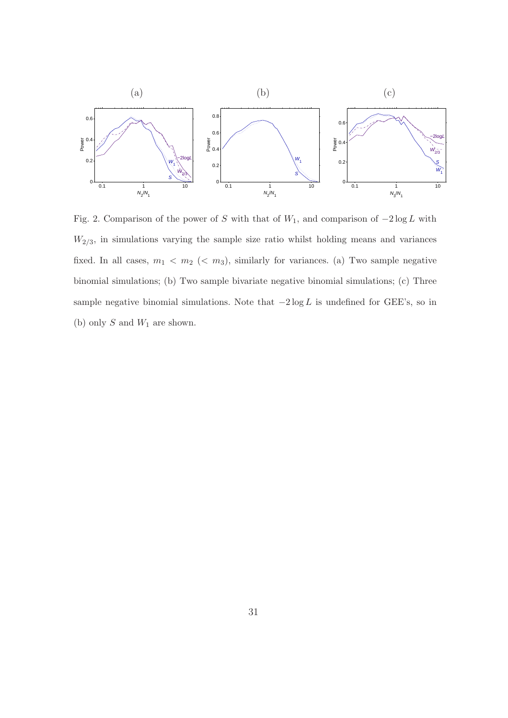

Fig. 2. Comparison of the power of S with that of  $W_1$ , and comparison of  $-2 \log L$  with  $W_{2/3}$ , in simulations varying the sample size ratio whilst holding means and variances fixed. In all cases,  $m_1 < m_2 \ (< m_3$ ), similarly for variances. (a) Two sample negative binomial simulations; (b) Two sample bivariate negative binomial simulations; (c) Three sample negative binomial simulations. Note that  $-2 \log L$  is undefined for GEE's, so in (b) only  $S$  and  $W_1$  are shown.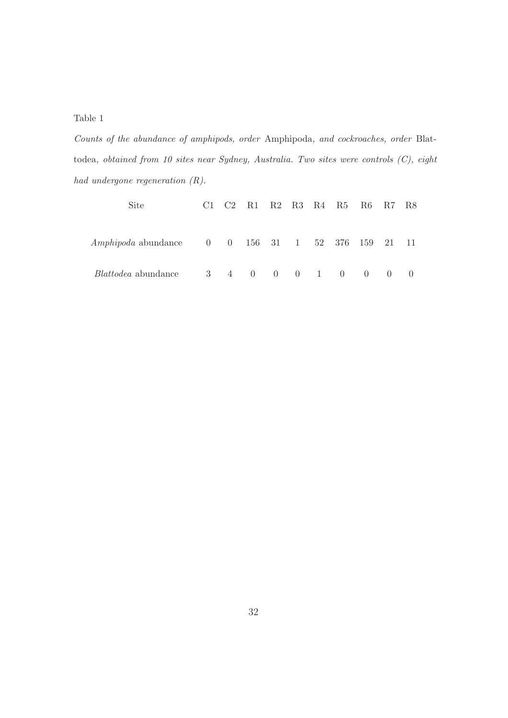Table 1

Counts of the abundance of amphipods, order Amphipoda, and cockroaches, order Blattodea, obtained from 10 sites near Sydney, Australia. Two sites were controls (C), eight had undergone regeneration (R).

| Site                                                                             |           | $C1 \quad C2$ |             |  | R1 R2 R3 R4 R5 R6 R7 R8 |                                 |                  |
|----------------------------------------------------------------------------------|-----------|---------------|-------------|--|-------------------------|---------------------------------|------------------|
| $Amphipoda$ abundance $0 \t 0 \t 156 \t 31 \t 1 \t 52 \t 376 \t 159 \t 21 \t 11$ |           |               |             |  |                         |                                 |                  |
| <i>Blattodea</i> abundance                                                       | $3 \quad$ |               | 4 0 0 0 1 0 |  |                         | $\begin{matrix} 0 \end{matrix}$ | $\left( \right)$ |